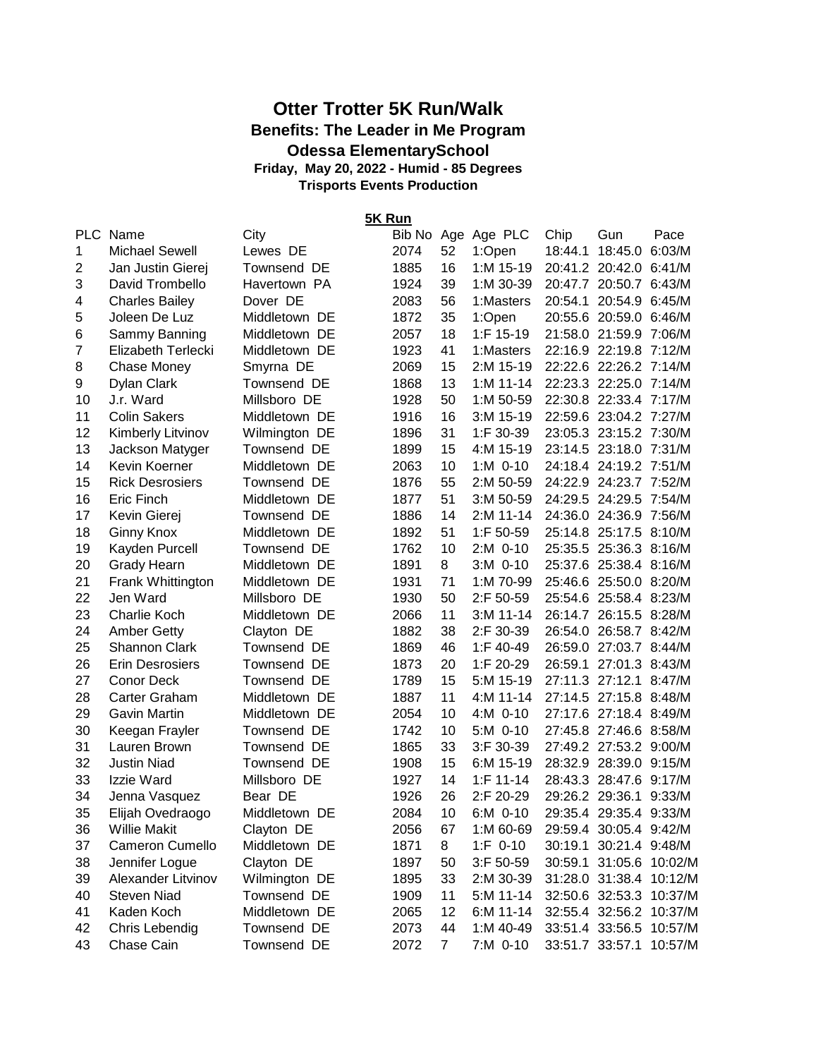## **Otter Trotter 5K Run/Walk Benefits: The Leader in Me Program Odessa ElementarySchool Friday, May 20, 2022 - Humid - 85 Degrees**

**Trisports Events Production**

**5K Run**

| 1<br><b>Michael Sewell</b><br>2074<br>52<br>18:44.1 18:45.0 6:03/M<br>1:Open<br>Lewes DE<br>$\overline{2}$<br>1885<br>16<br>1:M 15-19<br>20:41.2 20:42.0 6:41/M<br>Jan Justin Gierej<br>Townsend DE<br>39<br>20:47.7 20:50.7 6:43/M<br>3<br>1924<br>1:M 30-39<br>David Trombello<br>Havertown PA<br>Dover DE<br>2083<br>56<br>20:54.1 20:54.9 6:45/M<br>4<br><b>Charles Bailey</b><br>1:Masters<br>35<br>5<br>1872<br>1:Open<br>20:55.6 20:59.0 6:46/M<br>Joleen De Luz<br>Middletown DE<br>1:F 15-19<br>Sammy Banning<br>2057<br>18<br>21:58.0 21:59.9 7:06/M<br>6<br>Middletown DE<br>7<br>1923<br>41<br>22:16.9 22:19.8 7:12/M<br>Elizabeth Terlecki<br>Middletown DE<br>1:Masters<br>2069<br>15<br>22:22.6 22:26.2 7:14/M<br>8<br><b>Chase Money</b><br>Smyrna DE<br>2:M 15-19<br>1868<br>13<br>22:23.3 22:25.0 7:14/M<br>9<br>Dylan Clark<br>Townsend DE<br>$1: M 11-14$<br>1928<br>50<br>22:30.8 22:33.4 7:17/M<br>J.r. Ward<br>Millsboro DE<br>$1: M 50-59$<br>10<br>22:59.6 23:04.2 7:27/M<br>11<br><b>Colin Sakers</b><br>Middletown DE<br>1916<br>16<br>3:M 15-19<br>12<br>31<br>23:05.3 23:15.2 7:30/M<br><b>Kimberly Litvinov</b><br>Wilmington DE<br>1896<br>$1:$ F 30-39<br>13<br>1899<br>15<br>23:14.5 23:18.0 7:31/M<br>Jackson Matyger<br>Townsend DE<br>4:M 15-19<br>14<br>2063<br>24:18.4 24:19.2 7:51/M<br>Kevin Koerner<br>Middletown DE<br>10<br>$1: M$ 0-10<br>15<br>55<br>24:22.9 24:23.7 7:52/M<br><b>Rick Desrosiers</b><br>Townsend DE<br>1876<br>2:M 50-59<br>51<br>16<br>24:29.5 24:29.5 7:54/M<br>Eric Finch<br>Middletown DE<br>1877<br>$3: M 50-59$<br>17<br>1886<br>14<br>24:36.0 24:36.9 7:56/M<br>2:M 11-14<br>Kevin Gierej<br>Townsend DE<br>18<br>51<br>1:F 50-59<br>25:14.8 25:17.5 8:10/M<br>1892<br><b>Ginny Knox</b><br>Middletown DE<br>Kayden Purcell<br>10<br>2:M 0-10<br>25:35.5 25:36.3 8:16/M<br>19<br>Townsend DE<br>1762<br>8<br>25:37.6 25:38.4 8:16/M<br>20<br><b>Grady Hearn</b><br>Middletown DE<br>1891<br>$3:M$ 0-10<br>71<br>25:46.6 25:50.0 8:20/M<br>21<br>Frank Whittington<br>Middletown DE<br>1931<br>1:M 70-99<br>22<br>50<br>25:54.6 25:58.4 8:23/M<br>Jen Ward<br>Millsboro DE<br>1930<br>2:F 50-59<br>23<br>Charlie Koch<br>11<br>26:14.7 26:15.5 8:28/M<br>Middletown DE<br>2066<br>$3: M 11 - 14$<br>24<br>38<br>2:F 30-39<br>26:54.0 26:58.7 8:42/M<br><b>Amber Getty</b><br>1882<br>Clayton DE<br>25<br>Shannon Clark<br>46<br>26:59.0 27:03.7 8:44/M<br>Townsend DE<br>1869<br>1:F $40-49$<br>26<br>1873<br>20<br>26:59.1 27:01.3 8:43/M<br><b>Erin Desrosiers</b><br>1:F 20-29<br>Townsend DE<br>27<br><b>Conor Deck</b><br>1789<br>27:11.3 27:12.1 8:47/M<br>Townsend DE<br>15<br>5:M 15-19<br>28<br>Carter Graham<br>1887<br>11<br>27:14.5 27:15.8 8:48/M<br>Middletown DE<br>4:M 11-14<br>29<br>27:17.6 27:18.4 8:49/M<br>Gavin Martin<br>Middletown DE<br>2054<br>10<br>4:M 0-10<br>30<br>10<br>27:45.8 27:46.6 8:58/M<br>Townsend DE<br>1742<br>5:M 0-10<br>Keegan Frayler<br>33<br>27:49.2 27:53.2 9:00/M<br>31<br>1865<br>Lauren Brown<br>Townsend DE<br>$3:$ F 30-39<br>32<br>15<br>28:32.9 28:39.0 9:15/M<br><b>Justin Niad</b><br>Townsend DE<br>1908<br>6:M 15-19<br>33<br>14<br>$1:$ F 11-14<br>28:43.3 28:47.6 9:17/M<br>Izzie Ward<br>Millsboro DE<br>1927<br>34<br>1926<br>26<br>2:F 20-29<br>29:26.2 29:36.1 9:33/M<br>Jenna Vasquez<br>Bear DE<br>10<br>29:35.4 29:35.4 9:33/M<br>35<br>2084<br>6:M 0-10<br>Elijah Ovedraogo<br>Middletown DE<br>36<br>Willie Makit<br>Clayton DE<br>2056<br>67<br>1:M 60-69<br>29:59.4 30:05.4 9:42/M<br>37<br>Cameron Cumello<br>Middletown DE<br>1871<br>$1: F 0-10$<br>30:19.1 30:21.4 9:48/M<br>8<br>38<br>Jennifer Logue<br>Clayton DE<br>1897<br>50<br>3:F 50-59<br>30:59.1 31:05.6 10:02/M<br>Alexander Litvinov<br>Wilmington DE<br>1895<br>33<br>31:28.0 31:38.4 10:12/M<br>39<br>2:M 30-39<br>Townsend DE<br><b>Steven Niad</b><br>1909<br>11<br>5:M 11-14<br>32:50.6 32:53.3 10:37/M<br>40<br>Middletown DE<br>41<br>Kaden Koch<br>2065<br>12<br>6:M 11-14<br>32:55.4 32:56.2 10:37/M<br>42<br>Chris Lebendig<br>Townsend DE<br>2073<br>44<br>1:M 40-49<br>33:51.4 33:56.5 10:57/M<br>43<br>Chase Cain<br>Townsend DE<br>2072<br>7 <sup>1</sup><br>7:M 0-10<br>33:51.7 33:57.1 | PLC Name | City |  | Bib No Age Age PLC | Chip | Gun | Pace    |
|--------------------------------------------------------------------------------------------------------------------------------------------------------------------------------------------------------------------------------------------------------------------------------------------------------------------------------------------------------------------------------------------------------------------------------------------------------------------------------------------------------------------------------------------------------------------------------------------------------------------------------------------------------------------------------------------------------------------------------------------------------------------------------------------------------------------------------------------------------------------------------------------------------------------------------------------------------------------------------------------------------------------------------------------------------------------------------------------------------------------------------------------------------------------------------------------------------------------------------------------------------------------------------------------------------------------------------------------------------------------------------------------------------------------------------------------------------------------------------------------------------------------------------------------------------------------------------------------------------------------------------------------------------------------------------------------------------------------------------------------------------------------------------------------------------------------------------------------------------------------------------------------------------------------------------------------------------------------------------------------------------------------------------------------------------------------------------------------------------------------------------------------------------------------------------------------------------------------------------------------------------------------------------------------------------------------------------------------------------------------------------------------------------------------------------------------------------------------------------------------------------------------------------------------------------------------------------------------------------------------------------------------------------------------------------------------------------------------------------------------------------------------------------------------------------------------------------------------------------------------------------------------------------------------------------------------------------------------------------------------------------------------------------------------------------------------------------------------------------------------------------------------------------------------------------------------------------------------------------------------------------------------------------------------------------------------------------------------------------------------------------------------------------------------------------------------------------------------------------------------------------------------------------------------------------------------------------------------------------------------------------------------------------------------------------------------------------------------------------------------------------------------------------------------------------------------------------------------------------------------------------------------------------------------------------------------------------------------------------------------------------------------------------------------------------------------------------------------------------------------------------------------------------------------------------------------------------------------|----------|------|--|--------------------|------|-----|---------|
|                                                                                                                                                                                                                                                                                                                                                                                                                                                                                                                                                                                                                                                                                                                                                                                                                                                                                                                                                                                                                                                                                                                                                                                                                                                                                                                                                                                                                                                                                                                                                                                                                                                                                                                                                                                                                                                                                                                                                                                                                                                                                                                                                                                                                                                                                                                                                                                                                                                                                                                                                                                                                                                                                                                                                                                                                                                                                                                                                                                                                                                                                                                                                                                                                                                                                                                                                                                                                                                                                                                                                                                                                                                                                                                                                                                                                                                                                                                                                                                                                                                                                                                                                                                                                    |          |      |  |                    |      |     |         |
|                                                                                                                                                                                                                                                                                                                                                                                                                                                                                                                                                                                                                                                                                                                                                                                                                                                                                                                                                                                                                                                                                                                                                                                                                                                                                                                                                                                                                                                                                                                                                                                                                                                                                                                                                                                                                                                                                                                                                                                                                                                                                                                                                                                                                                                                                                                                                                                                                                                                                                                                                                                                                                                                                                                                                                                                                                                                                                                                                                                                                                                                                                                                                                                                                                                                                                                                                                                                                                                                                                                                                                                                                                                                                                                                                                                                                                                                                                                                                                                                                                                                                                                                                                                                                    |          |      |  |                    |      |     |         |
|                                                                                                                                                                                                                                                                                                                                                                                                                                                                                                                                                                                                                                                                                                                                                                                                                                                                                                                                                                                                                                                                                                                                                                                                                                                                                                                                                                                                                                                                                                                                                                                                                                                                                                                                                                                                                                                                                                                                                                                                                                                                                                                                                                                                                                                                                                                                                                                                                                                                                                                                                                                                                                                                                                                                                                                                                                                                                                                                                                                                                                                                                                                                                                                                                                                                                                                                                                                                                                                                                                                                                                                                                                                                                                                                                                                                                                                                                                                                                                                                                                                                                                                                                                                                                    |          |      |  |                    |      |     |         |
|                                                                                                                                                                                                                                                                                                                                                                                                                                                                                                                                                                                                                                                                                                                                                                                                                                                                                                                                                                                                                                                                                                                                                                                                                                                                                                                                                                                                                                                                                                                                                                                                                                                                                                                                                                                                                                                                                                                                                                                                                                                                                                                                                                                                                                                                                                                                                                                                                                                                                                                                                                                                                                                                                                                                                                                                                                                                                                                                                                                                                                                                                                                                                                                                                                                                                                                                                                                                                                                                                                                                                                                                                                                                                                                                                                                                                                                                                                                                                                                                                                                                                                                                                                                                                    |          |      |  |                    |      |     |         |
|                                                                                                                                                                                                                                                                                                                                                                                                                                                                                                                                                                                                                                                                                                                                                                                                                                                                                                                                                                                                                                                                                                                                                                                                                                                                                                                                                                                                                                                                                                                                                                                                                                                                                                                                                                                                                                                                                                                                                                                                                                                                                                                                                                                                                                                                                                                                                                                                                                                                                                                                                                                                                                                                                                                                                                                                                                                                                                                                                                                                                                                                                                                                                                                                                                                                                                                                                                                                                                                                                                                                                                                                                                                                                                                                                                                                                                                                                                                                                                                                                                                                                                                                                                                                                    |          |      |  |                    |      |     |         |
|                                                                                                                                                                                                                                                                                                                                                                                                                                                                                                                                                                                                                                                                                                                                                                                                                                                                                                                                                                                                                                                                                                                                                                                                                                                                                                                                                                                                                                                                                                                                                                                                                                                                                                                                                                                                                                                                                                                                                                                                                                                                                                                                                                                                                                                                                                                                                                                                                                                                                                                                                                                                                                                                                                                                                                                                                                                                                                                                                                                                                                                                                                                                                                                                                                                                                                                                                                                                                                                                                                                                                                                                                                                                                                                                                                                                                                                                                                                                                                                                                                                                                                                                                                                                                    |          |      |  |                    |      |     |         |
|                                                                                                                                                                                                                                                                                                                                                                                                                                                                                                                                                                                                                                                                                                                                                                                                                                                                                                                                                                                                                                                                                                                                                                                                                                                                                                                                                                                                                                                                                                                                                                                                                                                                                                                                                                                                                                                                                                                                                                                                                                                                                                                                                                                                                                                                                                                                                                                                                                                                                                                                                                                                                                                                                                                                                                                                                                                                                                                                                                                                                                                                                                                                                                                                                                                                                                                                                                                                                                                                                                                                                                                                                                                                                                                                                                                                                                                                                                                                                                                                                                                                                                                                                                                                                    |          |      |  |                    |      |     |         |
|                                                                                                                                                                                                                                                                                                                                                                                                                                                                                                                                                                                                                                                                                                                                                                                                                                                                                                                                                                                                                                                                                                                                                                                                                                                                                                                                                                                                                                                                                                                                                                                                                                                                                                                                                                                                                                                                                                                                                                                                                                                                                                                                                                                                                                                                                                                                                                                                                                                                                                                                                                                                                                                                                                                                                                                                                                                                                                                                                                                                                                                                                                                                                                                                                                                                                                                                                                                                                                                                                                                                                                                                                                                                                                                                                                                                                                                                                                                                                                                                                                                                                                                                                                                                                    |          |      |  |                    |      |     |         |
|                                                                                                                                                                                                                                                                                                                                                                                                                                                                                                                                                                                                                                                                                                                                                                                                                                                                                                                                                                                                                                                                                                                                                                                                                                                                                                                                                                                                                                                                                                                                                                                                                                                                                                                                                                                                                                                                                                                                                                                                                                                                                                                                                                                                                                                                                                                                                                                                                                                                                                                                                                                                                                                                                                                                                                                                                                                                                                                                                                                                                                                                                                                                                                                                                                                                                                                                                                                                                                                                                                                                                                                                                                                                                                                                                                                                                                                                                                                                                                                                                                                                                                                                                                                                                    |          |      |  |                    |      |     |         |
|                                                                                                                                                                                                                                                                                                                                                                                                                                                                                                                                                                                                                                                                                                                                                                                                                                                                                                                                                                                                                                                                                                                                                                                                                                                                                                                                                                                                                                                                                                                                                                                                                                                                                                                                                                                                                                                                                                                                                                                                                                                                                                                                                                                                                                                                                                                                                                                                                                                                                                                                                                                                                                                                                                                                                                                                                                                                                                                                                                                                                                                                                                                                                                                                                                                                                                                                                                                                                                                                                                                                                                                                                                                                                                                                                                                                                                                                                                                                                                                                                                                                                                                                                                                                                    |          |      |  |                    |      |     |         |
|                                                                                                                                                                                                                                                                                                                                                                                                                                                                                                                                                                                                                                                                                                                                                                                                                                                                                                                                                                                                                                                                                                                                                                                                                                                                                                                                                                                                                                                                                                                                                                                                                                                                                                                                                                                                                                                                                                                                                                                                                                                                                                                                                                                                                                                                                                                                                                                                                                                                                                                                                                                                                                                                                                                                                                                                                                                                                                                                                                                                                                                                                                                                                                                                                                                                                                                                                                                                                                                                                                                                                                                                                                                                                                                                                                                                                                                                                                                                                                                                                                                                                                                                                                                                                    |          |      |  |                    |      |     |         |
|                                                                                                                                                                                                                                                                                                                                                                                                                                                                                                                                                                                                                                                                                                                                                                                                                                                                                                                                                                                                                                                                                                                                                                                                                                                                                                                                                                                                                                                                                                                                                                                                                                                                                                                                                                                                                                                                                                                                                                                                                                                                                                                                                                                                                                                                                                                                                                                                                                                                                                                                                                                                                                                                                                                                                                                                                                                                                                                                                                                                                                                                                                                                                                                                                                                                                                                                                                                                                                                                                                                                                                                                                                                                                                                                                                                                                                                                                                                                                                                                                                                                                                                                                                                                                    |          |      |  |                    |      |     |         |
|                                                                                                                                                                                                                                                                                                                                                                                                                                                                                                                                                                                                                                                                                                                                                                                                                                                                                                                                                                                                                                                                                                                                                                                                                                                                                                                                                                                                                                                                                                                                                                                                                                                                                                                                                                                                                                                                                                                                                                                                                                                                                                                                                                                                                                                                                                                                                                                                                                                                                                                                                                                                                                                                                                                                                                                                                                                                                                                                                                                                                                                                                                                                                                                                                                                                                                                                                                                                                                                                                                                                                                                                                                                                                                                                                                                                                                                                                                                                                                                                                                                                                                                                                                                                                    |          |      |  |                    |      |     |         |
|                                                                                                                                                                                                                                                                                                                                                                                                                                                                                                                                                                                                                                                                                                                                                                                                                                                                                                                                                                                                                                                                                                                                                                                                                                                                                                                                                                                                                                                                                                                                                                                                                                                                                                                                                                                                                                                                                                                                                                                                                                                                                                                                                                                                                                                                                                                                                                                                                                                                                                                                                                                                                                                                                                                                                                                                                                                                                                                                                                                                                                                                                                                                                                                                                                                                                                                                                                                                                                                                                                                                                                                                                                                                                                                                                                                                                                                                                                                                                                                                                                                                                                                                                                                                                    |          |      |  |                    |      |     |         |
|                                                                                                                                                                                                                                                                                                                                                                                                                                                                                                                                                                                                                                                                                                                                                                                                                                                                                                                                                                                                                                                                                                                                                                                                                                                                                                                                                                                                                                                                                                                                                                                                                                                                                                                                                                                                                                                                                                                                                                                                                                                                                                                                                                                                                                                                                                                                                                                                                                                                                                                                                                                                                                                                                                                                                                                                                                                                                                                                                                                                                                                                                                                                                                                                                                                                                                                                                                                                                                                                                                                                                                                                                                                                                                                                                                                                                                                                                                                                                                                                                                                                                                                                                                                                                    |          |      |  |                    |      |     |         |
|                                                                                                                                                                                                                                                                                                                                                                                                                                                                                                                                                                                                                                                                                                                                                                                                                                                                                                                                                                                                                                                                                                                                                                                                                                                                                                                                                                                                                                                                                                                                                                                                                                                                                                                                                                                                                                                                                                                                                                                                                                                                                                                                                                                                                                                                                                                                                                                                                                                                                                                                                                                                                                                                                                                                                                                                                                                                                                                                                                                                                                                                                                                                                                                                                                                                                                                                                                                                                                                                                                                                                                                                                                                                                                                                                                                                                                                                                                                                                                                                                                                                                                                                                                                                                    |          |      |  |                    |      |     |         |
|                                                                                                                                                                                                                                                                                                                                                                                                                                                                                                                                                                                                                                                                                                                                                                                                                                                                                                                                                                                                                                                                                                                                                                                                                                                                                                                                                                                                                                                                                                                                                                                                                                                                                                                                                                                                                                                                                                                                                                                                                                                                                                                                                                                                                                                                                                                                                                                                                                                                                                                                                                                                                                                                                                                                                                                                                                                                                                                                                                                                                                                                                                                                                                                                                                                                                                                                                                                                                                                                                                                                                                                                                                                                                                                                                                                                                                                                                                                                                                                                                                                                                                                                                                                                                    |          |      |  |                    |      |     |         |
|                                                                                                                                                                                                                                                                                                                                                                                                                                                                                                                                                                                                                                                                                                                                                                                                                                                                                                                                                                                                                                                                                                                                                                                                                                                                                                                                                                                                                                                                                                                                                                                                                                                                                                                                                                                                                                                                                                                                                                                                                                                                                                                                                                                                                                                                                                                                                                                                                                                                                                                                                                                                                                                                                                                                                                                                                                                                                                                                                                                                                                                                                                                                                                                                                                                                                                                                                                                                                                                                                                                                                                                                                                                                                                                                                                                                                                                                                                                                                                                                                                                                                                                                                                                                                    |          |      |  |                    |      |     |         |
|                                                                                                                                                                                                                                                                                                                                                                                                                                                                                                                                                                                                                                                                                                                                                                                                                                                                                                                                                                                                                                                                                                                                                                                                                                                                                                                                                                                                                                                                                                                                                                                                                                                                                                                                                                                                                                                                                                                                                                                                                                                                                                                                                                                                                                                                                                                                                                                                                                                                                                                                                                                                                                                                                                                                                                                                                                                                                                                                                                                                                                                                                                                                                                                                                                                                                                                                                                                                                                                                                                                                                                                                                                                                                                                                                                                                                                                                                                                                                                                                                                                                                                                                                                                                                    |          |      |  |                    |      |     |         |
|                                                                                                                                                                                                                                                                                                                                                                                                                                                                                                                                                                                                                                                                                                                                                                                                                                                                                                                                                                                                                                                                                                                                                                                                                                                                                                                                                                                                                                                                                                                                                                                                                                                                                                                                                                                                                                                                                                                                                                                                                                                                                                                                                                                                                                                                                                                                                                                                                                                                                                                                                                                                                                                                                                                                                                                                                                                                                                                                                                                                                                                                                                                                                                                                                                                                                                                                                                                                                                                                                                                                                                                                                                                                                                                                                                                                                                                                                                                                                                                                                                                                                                                                                                                                                    |          |      |  |                    |      |     |         |
|                                                                                                                                                                                                                                                                                                                                                                                                                                                                                                                                                                                                                                                                                                                                                                                                                                                                                                                                                                                                                                                                                                                                                                                                                                                                                                                                                                                                                                                                                                                                                                                                                                                                                                                                                                                                                                                                                                                                                                                                                                                                                                                                                                                                                                                                                                                                                                                                                                                                                                                                                                                                                                                                                                                                                                                                                                                                                                                                                                                                                                                                                                                                                                                                                                                                                                                                                                                                                                                                                                                                                                                                                                                                                                                                                                                                                                                                                                                                                                                                                                                                                                                                                                                                                    |          |      |  |                    |      |     |         |
|                                                                                                                                                                                                                                                                                                                                                                                                                                                                                                                                                                                                                                                                                                                                                                                                                                                                                                                                                                                                                                                                                                                                                                                                                                                                                                                                                                                                                                                                                                                                                                                                                                                                                                                                                                                                                                                                                                                                                                                                                                                                                                                                                                                                                                                                                                                                                                                                                                                                                                                                                                                                                                                                                                                                                                                                                                                                                                                                                                                                                                                                                                                                                                                                                                                                                                                                                                                                                                                                                                                                                                                                                                                                                                                                                                                                                                                                                                                                                                                                                                                                                                                                                                                                                    |          |      |  |                    |      |     |         |
|                                                                                                                                                                                                                                                                                                                                                                                                                                                                                                                                                                                                                                                                                                                                                                                                                                                                                                                                                                                                                                                                                                                                                                                                                                                                                                                                                                                                                                                                                                                                                                                                                                                                                                                                                                                                                                                                                                                                                                                                                                                                                                                                                                                                                                                                                                                                                                                                                                                                                                                                                                                                                                                                                                                                                                                                                                                                                                                                                                                                                                                                                                                                                                                                                                                                                                                                                                                                                                                                                                                                                                                                                                                                                                                                                                                                                                                                                                                                                                                                                                                                                                                                                                                                                    |          |      |  |                    |      |     |         |
|                                                                                                                                                                                                                                                                                                                                                                                                                                                                                                                                                                                                                                                                                                                                                                                                                                                                                                                                                                                                                                                                                                                                                                                                                                                                                                                                                                                                                                                                                                                                                                                                                                                                                                                                                                                                                                                                                                                                                                                                                                                                                                                                                                                                                                                                                                                                                                                                                                                                                                                                                                                                                                                                                                                                                                                                                                                                                                                                                                                                                                                                                                                                                                                                                                                                                                                                                                                                                                                                                                                                                                                                                                                                                                                                                                                                                                                                                                                                                                                                                                                                                                                                                                                                                    |          |      |  |                    |      |     |         |
|                                                                                                                                                                                                                                                                                                                                                                                                                                                                                                                                                                                                                                                                                                                                                                                                                                                                                                                                                                                                                                                                                                                                                                                                                                                                                                                                                                                                                                                                                                                                                                                                                                                                                                                                                                                                                                                                                                                                                                                                                                                                                                                                                                                                                                                                                                                                                                                                                                                                                                                                                                                                                                                                                                                                                                                                                                                                                                                                                                                                                                                                                                                                                                                                                                                                                                                                                                                                                                                                                                                                                                                                                                                                                                                                                                                                                                                                                                                                                                                                                                                                                                                                                                                                                    |          |      |  |                    |      |     |         |
|                                                                                                                                                                                                                                                                                                                                                                                                                                                                                                                                                                                                                                                                                                                                                                                                                                                                                                                                                                                                                                                                                                                                                                                                                                                                                                                                                                                                                                                                                                                                                                                                                                                                                                                                                                                                                                                                                                                                                                                                                                                                                                                                                                                                                                                                                                                                                                                                                                                                                                                                                                                                                                                                                                                                                                                                                                                                                                                                                                                                                                                                                                                                                                                                                                                                                                                                                                                                                                                                                                                                                                                                                                                                                                                                                                                                                                                                                                                                                                                                                                                                                                                                                                                                                    |          |      |  |                    |      |     |         |
|                                                                                                                                                                                                                                                                                                                                                                                                                                                                                                                                                                                                                                                                                                                                                                                                                                                                                                                                                                                                                                                                                                                                                                                                                                                                                                                                                                                                                                                                                                                                                                                                                                                                                                                                                                                                                                                                                                                                                                                                                                                                                                                                                                                                                                                                                                                                                                                                                                                                                                                                                                                                                                                                                                                                                                                                                                                                                                                                                                                                                                                                                                                                                                                                                                                                                                                                                                                                                                                                                                                                                                                                                                                                                                                                                                                                                                                                                                                                                                                                                                                                                                                                                                                                                    |          |      |  |                    |      |     |         |
|                                                                                                                                                                                                                                                                                                                                                                                                                                                                                                                                                                                                                                                                                                                                                                                                                                                                                                                                                                                                                                                                                                                                                                                                                                                                                                                                                                                                                                                                                                                                                                                                                                                                                                                                                                                                                                                                                                                                                                                                                                                                                                                                                                                                                                                                                                                                                                                                                                                                                                                                                                                                                                                                                                                                                                                                                                                                                                                                                                                                                                                                                                                                                                                                                                                                                                                                                                                                                                                                                                                                                                                                                                                                                                                                                                                                                                                                                                                                                                                                                                                                                                                                                                                                                    |          |      |  |                    |      |     |         |
|                                                                                                                                                                                                                                                                                                                                                                                                                                                                                                                                                                                                                                                                                                                                                                                                                                                                                                                                                                                                                                                                                                                                                                                                                                                                                                                                                                                                                                                                                                                                                                                                                                                                                                                                                                                                                                                                                                                                                                                                                                                                                                                                                                                                                                                                                                                                                                                                                                                                                                                                                                                                                                                                                                                                                                                                                                                                                                                                                                                                                                                                                                                                                                                                                                                                                                                                                                                                                                                                                                                                                                                                                                                                                                                                                                                                                                                                                                                                                                                                                                                                                                                                                                                                                    |          |      |  |                    |      |     |         |
|                                                                                                                                                                                                                                                                                                                                                                                                                                                                                                                                                                                                                                                                                                                                                                                                                                                                                                                                                                                                                                                                                                                                                                                                                                                                                                                                                                                                                                                                                                                                                                                                                                                                                                                                                                                                                                                                                                                                                                                                                                                                                                                                                                                                                                                                                                                                                                                                                                                                                                                                                                                                                                                                                                                                                                                                                                                                                                                                                                                                                                                                                                                                                                                                                                                                                                                                                                                                                                                                                                                                                                                                                                                                                                                                                                                                                                                                                                                                                                                                                                                                                                                                                                                                                    |          |      |  |                    |      |     |         |
|                                                                                                                                                                                                                                                                                                                                                                                                                                                                                                                                                                                                                                                                                                                                                                                                                                                                                                                                                                                                                                                                                                                                                                                                                                                                                                                                                                                                                                                                                                                                                                                                                                                                                                                                                                                                                                                                                                                                                                                                                                                                                                                                                                                                                                                                                                                                                                                                                                                                                                                                                                                                                                                                                                                                                                                                                                                                                                                                                                                                                                                                                                                                                                                                                                                                                                                                                                                                                                                                                                                                                                                                                                                                                                                                                                                                                                                                                                                                                                                                                                                                                                                                                                                                                    |          |      |  |                    |      |     |         |
|                                                                                                                                                                                                                                                                                                                                                                                                                                                                                                                                                                                                                                                                                                                                                                                                                                                                                                                                                                                                                                                                                                                                                                                                                                                                                                                                                                                                                                                                                                                                                                                                                                                                                                                                                                                                                                                                                                                                                                                                                                                                                                                                                                                                                                                                                                                                                                                                                                                                                                                                                                                                                                                                                                                                                                                                                                                                                                                                                                                                                                                                                                                                                                                                                                                                                                                                                                                                                                                                                                                                                                                                                                                                                                                                                                                                                                                                                                                                                                                                                                                                                                                                                                                                                    |          |      |  |                    |      |     |         |
|                                                                                                                                                                                                                                                                                                                                                                                                                                                                                                                                                                                                                                                                                                                                                                                                                                                                                                                                                                                                                                                                                                                                                                                                                                                                                                                                                                                                                                                                                                                                                                                                                                                                                                                                                                                                                                                                                                                                                                                                                                                                                                                                                                                                                                                                                                                                                                                                                                                                                                                                                                                                                                                                                                                                                                                                                                                                                                                                                                                                                                                                                                                                                                                                                                                                                                                                                                                                                                                                                                                                                                                                                                                                                                                                                                                                                                                                                                                                                                                                                                                                                                                                                                                                                    |          |      |  |                    |      |     |         |
|                                                                                                                                                                                                                                                                                                                                                                                                                                                                                                                                                                                                                                                                                                                                                                                                                                                                                                                                                                                                                                                                                                                                                                                                                                                                                                                                                                                                                                                                                                                                                                                                                                                                                                                                                                                                                                                                                                                                                                                                                                                                                                                                                                                                                                                                                                                                                                                                                                                                                                                                                                                                                                                                                                                                                                                                                                                                                                                                                                                                                                                                                                                                                                                                                                                                                                                                                                                                                                                                                                                                                                                                                                                                                                                                                                                                                                                                                                                                                                                                                                                                                                                                                                                                                    |          |      |  |                    |      |     |         |
|                                                                                                                                                                                                                                                                                                                                                                                                                                                                                                                                                                                                                                                                                                                                                                                                                                                                                                                                                                                                                                                                                                                                                                                                                                                                                                                                                                                                                                                                                                                                                                                                                                                                                                                                                                                                                                                                                                                                                                                                                                                                                                                                                                                                                                                                                                                                                                                                                                                                                                                                                                                                                                                                                                                                                                                                                                                                                                                                                                                                                                                                                                                                                                                                                                                                                                                                                                                                                                                                                                                                                                                                                                                                                                                                                                                                                                                                                                                                                                                                                                                                                                                                                                                                                    |          |      |  |                    |      |     |         |
|                                                                                                                                                                                                                                                                                                                                                                                                                                                                                                                                                                                                                                                                                                                                                                                                                                                                                                                                                                                                                                                                                                                                                                                                                                                                                                                                                                                                                                                                                                                                                                                                                                                                                                                                                                                                                                                                                                                                                                                                                                                                                                                                                                                                                                                                                                                                                                                                                                                                                                                                                                                                                                                                                                                                                                                                                                                                                                                                                                                                                                                                                                                                                                                                                                                                                                                                                                                                                                                                                                                                                                                                                                                                                                                                                                                                                                                                                                                                                                                                                                                                                                                                                                                                                    |          |      |  |                    |      |     |         |
|                                                                                                                                                                                                                                                                                                                                                                                                                                                                                                                                                                                                                                                                                                                                                                                                                                                                                                                                                                                                                                                                                                                                                                                                                                                                                                                                                                                                                                                                                                                                                                                                                                                                                                                                                                                                                                                                                                                                                                                                                                                                                                                                                                                                                                                                                                                                                                                                                                                                                                                                                                                                                                                                                                                                                                                                                                                                                                                                                                                                                                                                                                                                                                                                                                                                                                                                                                                                                                                                                                                                                                                                                                                                                                                                                                                                                                                                                                                                                                                                                                                                                                                                                                                                                    |          |      |  |                    |      |     |         |
|                                                                                                                                                                                                                                                                                                                                                                                                                                                                                                                                                                                                                                                                                                                                                                                                                                                                                                                                                                                                                                                                                                                                                                                                                                                                                                                                                                                                                                                                                                                                                                                                                                                                                                                                                                                                                                                                                                                                                                                                                                                                                                                                                                                                                                                                                                                                                                                                                                                                                                                                                                                                                                                                                                                                                                                                                                                                                                                                                                                                                                                                                                                                                                                                                                                                                                                                                                                                                                                                                                                                                                                                                                                                                                                                                                                                                                                                                                                                                                                                                                                                                                                                                                                                                    |          |      |  |                    |      |     |         |
|                                                                                                                                                                                                                                                                                                                                                                                                                                                                                                                                                                                                                                                                                                                                                                                                                                                                                                                                                                                                                                                                                                                                                                                                                                                                                                                                                                                                                                                                                                                                                                                                                                                                                                                                                                                                                                                                                                                                                                                                                                                                                                                                                                                                                                                                                                                                                                                                                                                                                                                                                                                                                                                                                                                                                                                                                                                                                                                                                                                                                                                                                                                                                                                                                                                                                                                                                                                                                                                                                                                                                                                                                                                                                                                                                                                                                                                                                                                                                                                                                                                                                                                                                                                                                    |          |      |  |                    |      |     |         |
|                                                                                                                                                                                                                                                                                                                                                                                                                                                                                                                                                                                                                                                                                                                                                                                                                                                                                                                                                                                                                                                                                                                                                                                                                                                                                                                                                                                                                                                                                                                                                                                                                                                                                                                                                                                                                                                                                                                                                                                                                                                                                                                                                                                                                                                                                                                                                                                                                                                                                                                                                                                                                                                                                                                                                                                                                                                                                                                                                                                                                                                                                                                                                                                                                                                                                                                                                                                                                                                                                                                                                                                                                                                                                                                                                                                                                                                                                                                                                                                                                                                                                                                                                                                                                    |          |      |  |                    |      |     |         |
|                                                                                                                                                                                                                                                                                                                                                                                                                                                                                                                                                                                                                                                                                                                                                                                                                                                                                                                                                                                                                                                                                                                                                                                                                                                                                                                                                                                                                                                                                                                                                                                                                                                                                                                                                                                                                                                                                                                                                                                                                                                                                                                                                                                                                                                                                                                                                                                                                                                                                                                                                                                                                                                                                                                                                                                                                                                                                                                                                                                                                                                                                                                                                                                                                                                                                                                                                                                                                                                                                                                                                                                                                                                                                                                                                                                                                                                                                                                                                                                                                                                                                                                                                                                                                    |          |      |  |                    |      |     |         |
|                                                                                                                                                                                                                                                                                                                                                                                                                                                                                                                                                                                                                                                                                                                                                                                                                                                                                                                                                                                                                                                                                                                                                                                                                                                                                                                                                                                                                                                                                                                                                                                                                                                                                                                                                                                                                                                                                                                                                                                                                                                                                                                                                                                                                                                                                                                                                                                                                                                                                                                                                                                                                                                                                                                                                                                                                                                                                                                                                                                                                                                                                                                                                                                                                                                                                                                                                                                                                                                                                                                                                                                                                                                                                                                                                                                                                                                                                                                                                                                                                                                                                                                                                                                                                    |          |      |  |                    |      |     |         |
|                                                                                                                                                                                                                                                                                                                                                                                                                                                                                                                                                                                                                                                                                                                                                                                                                                                                                                                                                                                                                                                                                                                                                                                                                                                                                                                                                                                                                                                                                                                                                                                                                                                                                                                                                                                                                                                                                                                                                                                                                                                                                                                                                                                                                                                                                                                                                                                                                                                                                                                                                                                                                                                                                                                                                                                                                                                                                                                                                                                                                                                                                                                                                                                                                                                                                                                                                                                                                                                                                                                                                                                                                                                                                                                                                                                                                                                                                                                                                                                                                                                                                                                                                                                                                    |          |      |  |                    |      |     | 10:57/M |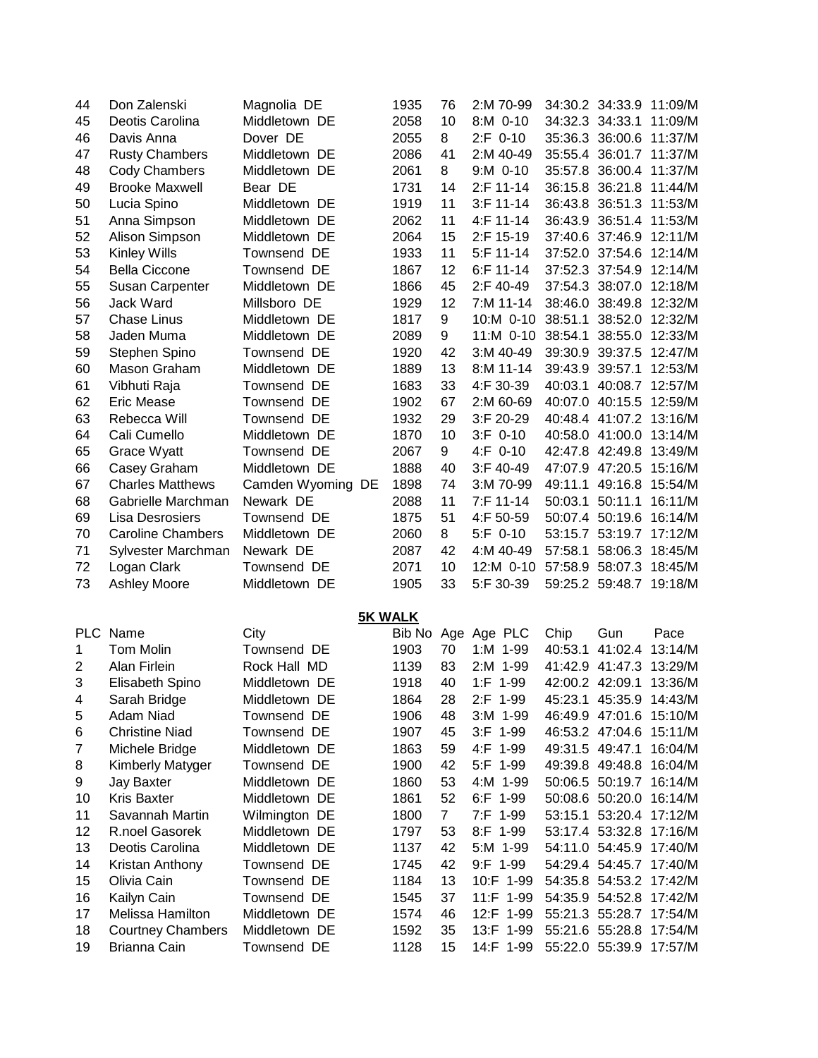| 44             | Don Zalenski             | Magnolia DE    |     | 1935           | 76             | 2:M 70-99                         |                 | 34:30.2 34:33.9 11:09/M |         |
|----------------|--------------------------|----------------|-----|----------------|----------------|-----------------------------------|-----------------|-------------------------|---------|
| 45             | Deotis Carolina          | Middletown DE  |     | 2058           | 10             | 8:M 0-10                          |                 | 34:32.3 34:33.1 11:09/M |         |
| 46             | Davis Anna               | Dover DE       |     | 2055           | 8              | $2:F 0-10$                        |                 | 35:36.3 36:00.6 11:37/M |         |
| 47             | <b>Rusty Chambers</b>    | Middletown DE  |     | 2086           | 41             | 2:M 40-49                         |                 | 35:55.4 36:01.7 11:37/M |         |
| 48             | <b>Cody Chambers</b>     | Middletown DE  |     | 2061           | 8              | $9: M$ 0-10                       |                 | 35:57.8 36:00.4 11:37/M |         |
| 49             | <b>Brooke Maxwell</b>    | Bear DE        |     | 1731           | 14             | 2:F 11-14                         |                 | 36:15.8 36:21.8 11:44/M |         |
| 50             | Lucia Spino              | Middletown DE  |     | 1919           | 11             | $3:$ F 11-14                      |                 | 36:43.8 36:51.3 11:53/M |         |
| 51             | Anna Simpson             | Middletown DE  |     | 2062           | 11             | 4:F 11-14                         |                 | 36:43.9 36:51.4 11:53/M |         |
| 52             | Alison Simpson           | Middletown DE  |     | 2064           | 15             | 2:F 15-19                         |                 | 37:40.6 37:46.9         | 12:11/M |
| 53             | <b>Kinley Wills</b>      | Townsend DE    |     | 1933           | 11             | 5:F 11-14                         |                 | 37:52.0 37:54.6         | 12:14/M |
| 54             | <b>Bella Ciccone</b>     | Townsend DE    |     | 1867           | 12             | 6:F 11-14                         |                 | 37:52.3 37:54.9 12:14/M |         |
| 55             | <b>Susan Carpenter</b>   | Middletown DE  |     | 1866           | 45             | 2:F 40-49                         |                 | 37:54.3 38:07.0 12:18/M |         |
| 56             | Jack Ward                | Millsboro DE   |     | 1929           | 12             | 7:M 11-14                         |                 | 38:46.0 38:49.8 12:32/M |         |
| 57             | <b>Chase Linus</b>       | Middletown DE  |     | 1817           | 9              | 10:M 0-10                         |                 | 38:51.1 38:52.0 12:32/M |         |
| 58             | Jaden Muma               | Middletown DE  |     | 2089           | 9              | 11:M 0-10 38:54.1 38:55.0 12:33/M |                 |                         |         |
| 59             | Stephen Spino            | Townsend DE    |     | 1920           | 42             | 3:M 40-49                         |                 | 39:30.9 39:37.5 12:47/M |         |
| 60             | Mason Graham             | Middletown DE  |     | 1889           | 13             | 8:M 11-14                         |                 | 39:43.9 39:57.1         | 12:53/M |
| 61             | Vibhuti Raja             | Townsend DE    |     | 1683           | 33             | 4:F 30-39                         |                 | 40:03.1 40:08.7 12:57/M |         |
| 62             | <b>Eric Mease</b>        | Townsend DE    |     | 1902           | 67             | 2:M 60-69                         |                 | 40:07.0 40:15.5 12:59/M |         |
| 63             | Rebecca Will             | Townsend DE    |     | 1932           | 29             | 3:F 20-29                         |                 | 40:48.4 41:07.2 13:16/M |         |
| 64             | Cali Cumello             | Middletown DE  |     | 1870           | 10             | $3:F$ 0-10                        |                 | 40:58.0 41:00.0 13:14/M |         |
|                |                          | Townsend DE    |     | 2067           |                | 4:F 0-10                          |                 | 42:47.8 42:49.8 13:49/M |         |
| 65             | Grace Wyatt              | Middletown DE  |     | 1888           | 9<br>40        | 3:F 40-49                         |                 | 47:07.9 47:20.5 15:16/M |         |
| 66             | Casey Graham             |                |     |                |                |                                   |                 |                         |         |
| 67             | <b>Charles Matthews</b>  | Camden Wyoming | DE. | 1898           | 74             | 3:M 70-99                         | 49:11.1         | 49:16.8                 | 15:54/M |
| 68             | Gabrielle Marchman       | Newark DE      |     | 2088           | 11             | 7:F 11-14                         | 50:03.1 50:11.1 |                         | 16:11/M |
| 69             | <b>Lisa Desrosiers</b>   | Townsend DE    |     | 1875           | 51             | 4:F 50-59                         |                 | 50:07.4 50:19.6 16:14/M |         |
| 70             | <b>Caroline Chambers</b> | Middletown DE  |     | 2060           | 8              | $5:F$ 0-10                        |                 | 53:15.7 53:19.7 17:12/M |         |
| 71             | Sylvester Marchman       | Newark DE      |     | 2087           | 42             | 4:M 40-49                         |                 | 57:58.1 58:06.3 18:45/M |         |
| 72             | Logan Clark              | Townsend DE    |     | 2071           | 10             | 12:M 0-10                         |                 | 57:58.9 58:07.3 18:45/M |         |
| 73             | <b>Ashley Moore</b>      | Middletown DE  |     | 1905           | 33             | 5:F 30-39                         |                 | 59:25.2 59:48.7 19:18/M |         |
|                |                          |                |     |                |                |                                   |                 |                         |         |
|                |                          |                |     | <b>5K WALK</b> |                |                                   |                 |                         |         |
|                | PLC Name                 | City           |     |                |                | Bib No Age Age PLC                | Chip            | Gun                     | Pace    |
| 1              | Tom Molin                | Townsend DE    |     | 1903           | 70             | 1:M 1-99                          | 40:53.1         | 41:02.4                 | 13:14/M |
| $\overline{c}$ | Alan Firlein             | Rock Hall MD   |     | 1139           | 83             | $2:M$ 1-99                        |                 | 41:42.9 41:47.3 13:29/M |         |
| 3              | Elisabeth Spino          | Middletown DE  |     | 1918           | 40             | 1:F 1-99                          |                 | 42:00.2 42:09.1 13:36/M |         |
| 4              | Sarah Bridge             | Middletown DE  |     | 1864           | 28             | 2:F 1-99                          |                 | 45:23.1 45:35.9 14:43/M |         |
| 5              | Adam Niad                | Townsend DE    |     | 1906           | 48             | $3: M$ 1-99                       |                 | 46:49.9 47:01.6 15:10/M |         |
| 6              | <b>Christine Niad</b>    | Townsend DE    |     | 1907           | 45             | $3:F$ 1-99                        |                 | 46:53.2 47:04.6 15:11/M |         |
| 7              | Michele Bridge           | Middletown DE  |     | 1863           | 59             | 4:F 1-99                          |                 | 49:31.5 49:47.1         | 16:04/M |
| 8              | <b>Kimberly Matyger</b>  | Townsend DE    |     | 1900           | 42             | 5:F 1-99                          |                 | 49:39.8 49:48.8 16:04/M |         |
| 9              | <b>Jay Baxter</b>        | Middletown DE  |     | 1860           | 53             | 4:M 1-99                          |                 | 50:06.5 50:19.7 16:14/M |         |
| 10             | <b>Kris Baxter</b>       | Middletown DE  |     | 1861           | 52             | 6:F 1-99                          |                 | 50:08.6 50:20.0 16:14/M |         |
| 11             | Savannah Martin          | Wilmington DE  |     | 1800           | $\overline{7}$ | 7:F 1-99                          |                 | 53:15.1 53:20.4 17:12/M |         |
| 12             | R.noel Gasorek           | Middletown DE  |     | 1797           | 53             | 8:F 1-99                          |                 | 53:17.4 53:32.8 17:16/M |         |
| 13             | Deotis Carolina          | Middletown DE  |     | 1137           | 42             | 5:M 1-99                          |                 | 54:11.0 54:45.9 17:40/M |         |
| 14             | Kristan Anthony          | Townsend DE    |     | 1745           | 42             | $9:$ F $1-99$                     |                 | 54:29.4 54:45.7 17:40/M |         |
| 15             | Olivia Cain              | Townsend DE    |     | 1184           | 13             | 10:F 1-99                         |                 | 54:35.8 54:53.2 17:42/M |         |
| 16             | Kailyn Cain              | Townsend DE    |     | 1545           | 37             | 11:F 1-99                         |                 | 54:35.9 54:52.8 17:42/M |         |
| 17             | Melissa Hamilton         | Middletown DE  |     | 1574           | 46             | 12:F 1-99                         |                 | 55:21.3 55:28.7 17:54/M |         |
| 18             | <b>Courtney Chambers</b> | Middletown DE  |     | 1592           | 35             | 13:F 1-99                         |                 | 55:21.6 55:28.8 17:54/M |         |
| 19             | Brianna Cain             | Townsend DE    |     | 1128           | 15             | 14:F 1-99                         |                 | 55:22.0 55:39.9 17:57/M |         |
|                |                          |                |     |                |                |                                   |                 |                         |         |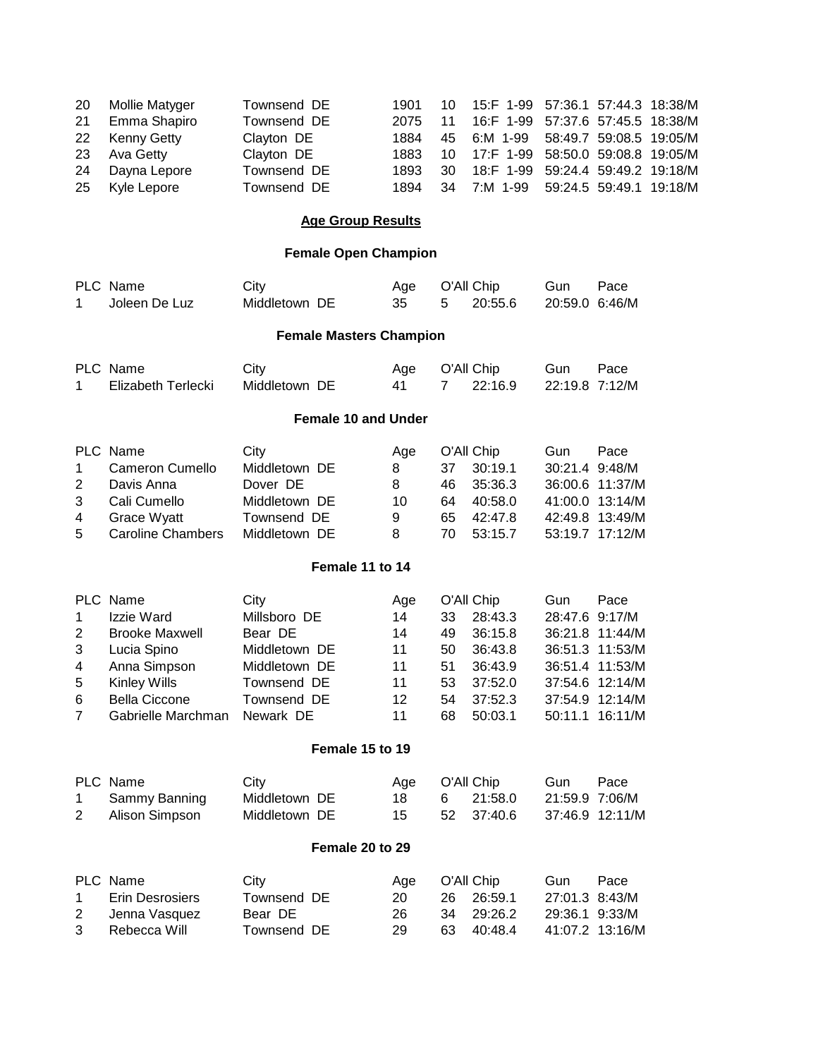| 20 Mollie Matyger | Townsend DE |      |               |    |                                                                                                                                                                                                                                           |
|-------------------|-------------|------|---------------|----|-------------------------------------------------------------------------------------------------------------------------------------------------------------------------------------------------------------------------------------------|
| 21 Emma Shapiro   | Townsend DE | 2075 |               |    |                                                                                                                                                                                                                                           |
| 22 Kenny Getty    | Clayton DE  | 1884 |               |    |                                                                                                                                                                                                                                           |
| 23 Ava Getty      | Clayton DE  | 1883 |               |    |                                                                                                                                                                                                                                           |
| 24 Dayna Lepore   | Townsend DE | 1893 |               |    |                                                                                                                                                                                                                                           |
| 25 Kyle Lepore    | Townsend DE | 1894 |               |    |                                                                                                                                                                                                                                           |
|                   |             |      | 1901 -<br>.30 | 11 | 10 15:F 1-99 57:36.1 57:44.3 18:38/M<br>16:F 1-99 57:37.6 57:45.5 18:38/M<br>45 6:M 1-99 58:49.7 59:08.5 19:05/M<br>10  17:F  1-99  58:50.0  59:08.8  19:05/M<br>18:F 1-99 59:24.4 59:49.2 19:18/M<br>34 7:M 1-99 59:24.5 59:49.1 19:18/M |

## **Age Group Results**

## **Female Open Champion**

| 1                                                         | PLC Name<br>Joleen De Luz                                                                                                                    | City<br>Middletown DE                                                                                        |                                | Age<br>35                                     | 5                                      | O'All Chip<br>20:55.6                                                                   | Gun<br>20:59.0 6:46/M            | Pace                                                                                                                     |
|-----------------------------------------------------------|----------------------------------------------------------------------------------------------------------------------------------------------|--------------------------------------------------------------------------------------------------------------|--------------------------------|-----------------------------------------------|----------------------------------------|-----------------------------------------------------------------------------------------|----------------------------------|--------------------------------------------------------------------------------------------------------------------------|
|                                                           |                                                                                                                                              |                                                                                                              | <b>Female Masters Champion</b> |                                               |                                        |                                                                                         |                                  |                                                                                                                          |
| 1                                                         | PLC Name<br>Elizabeth Terlecki                                                                                                               | City<br>Middletown DE                                                                                        |                                | Age<br>41                                     | 7                                      | O'All Chip<br>22:16.9                                                                   | Gun<br>22:19.8 7:12/M            | Pace                                                                                                                     |
|                                                           |                                                                                                                                              |                                                                                                              | <b>Female 10 and Under</b>     |                                               |                                        |                                                                                         |                                  |                                                                                                                          |
| 1<br>$\overline{2}$<br>3<br>$\overline{\mathbf{4}}$<br>5  | PLC Name<br>Cameron Cumello<br>Davis Anna<br>Cali Cumello<br><b>Grace Wyatt</b><br><b>Caroline Chambers</b>                                  | City<br>Middletown DE<br>Dover DE<br>Middletown DE<br>Townsend DE<br>Middletown DE                           |                                | Age<br>8<br>8<br>10<br>9<br>8                 | 37<br>46<br>64<br>65<br>70             | O'All Chip<br>30:19.1<br>35:36.3<br>40:58.0<br>42:47.8<br>53:15.7                       | Gun<br>30:21.4 9:48/M<br>41:00.0 | Pace<br>36:00.6 11:37/M<br>13:14/M<br>42:49.8 13:49/M<br>53:19.7 17:12/M                                                 |
|                                                           |                                                                                                                                              |                                                                                                              | Female 11 to 14                |                                               |                                        |                                                                                         |                                  |                                                                                                                          |
| 1<br>$\overline{2}$<br>3<br>4<br>5<br>6<br>$\overline{7}$ | PLC Name<br>Izzie Ward<br><b>Brooke Maxwell</b><br>Lucia Spino<br>Anna Simpson<br>Kinley Wills<br><b>Bella Ciccone</b><br>Gabrielle Marchman | City<br>Millsboro DE<br>Bear DE<br>Middletown DE<br>Middletown DE<br>Townsend DE<br>Townsend DE<br>Newark DE |                                | Age<br>14<br>14<br>11<br>11<br>11<br>12<br>11 | 33<br>49<br>50<br>51<br>53<br>54<br>68 | O'All Chip<br>28:43.3<br>36:15.8<br>36:43.8<br>36:43.9<br>37:52.0<br>37:52.3<br>50:03.1 | Gun<br>28:47.6<br>50:11.1        | Pace<br>9:17/M<br>36:21.8 11:44/M<br>36:51.3 11:53/M<br>36:51.4 11:53/M<br>37:54.6 12:14/M<br>37:54.9 12:14/M<br>16:11/M |
|                                                           |                                                                                                                                              |                                                                                                              | Female 15 to 19                |                                               |                                        |                                                                                         |                                  |                                                                                                                          |
| 1<br>2                                                    | PLC Name<br>Sammy Banning<br>Alison Simpson                                                                                                  | City<br>Middletown DE<br>Middletown DE                                                                       |                                | Age<br>18<br>15                               | 6<br>52                                | O'All Chip<br>21:58.0<br>37:40.6                                                        | Gun<br>21:59.9 7:06/M            | Pace<br>37:46.9 12:11/M                                                                                                  |
|                                                           |                                                                                                                                              |                                                                                                              | Female 20 to 29                |                                               |                                        |                                                                                         |                                  |                                                                                                                          |
| 1<br>$\overline{2}$<br>3                                  | PLC Name<br><b>Erin Desrosiers</b><br>Jenna Vasquez<br>Rebecca Will                                                                          | City<br>Townsend DE<br>Bear DE<br>Townsend DE                                                                |                                | Age<br>20<br>26<br>29                         | 26<br>34<br>63                         | O'All Chip<br>26:59.1<br>29:26.2<br>40:48.4                                             | Gun<br>27:01.3 8:43/M<br>29:36.1 | Pace<br>9:33/M<br>41:07.2 13:16/M                                                                                        |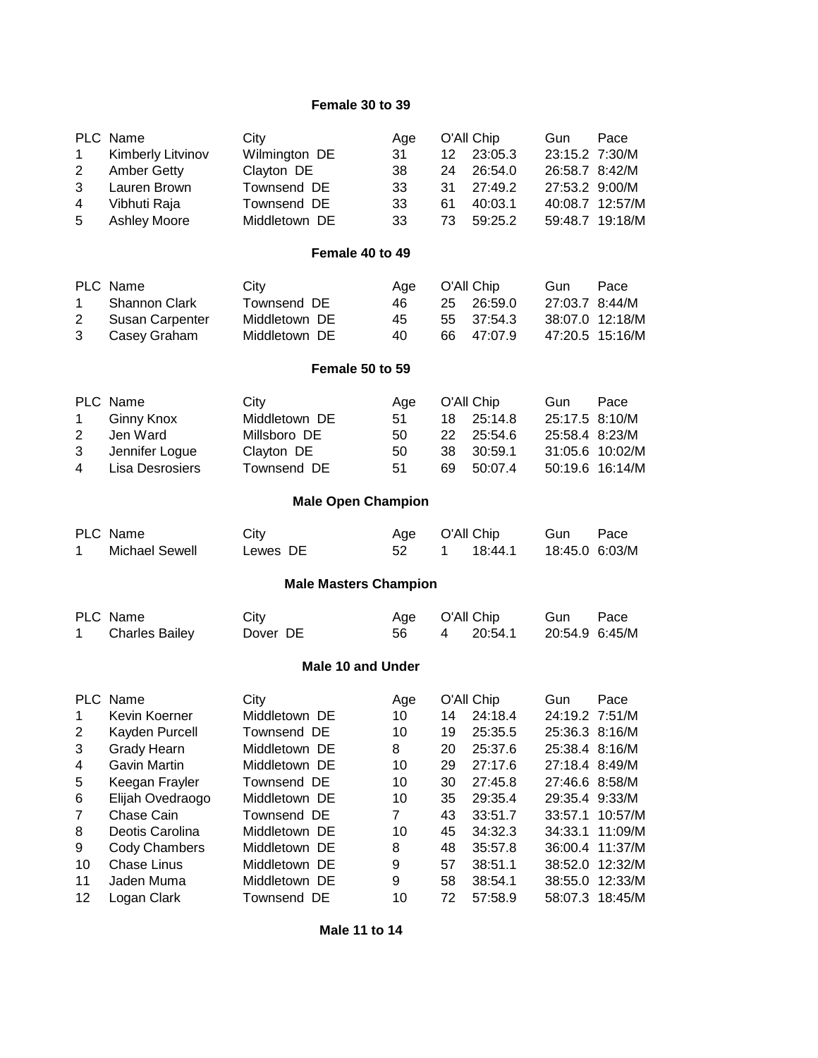## **Female 30 to 39**

| $\mathbf 1$<br>$\overline{2}$<br>3<br>4  | PLC Name<br><b>Kimberly Litvinov</b><br><b>Amber Getty</b><br>Lauren Brown<br>Vibhuti Raja | City<br>Wilmington DE<br>Clayton DE<br>Townsend DE<br>Townsend DE  | Age<br>31<br>38<br>33<br>33                    | 12<br>24<br>31<br>61 | O'All Chip<br>23:05.3<br>26:54.0<br>27:49.2<br>40:03.1 | Gun<br>23:15.2 7:30/M<br>26:58.7 8:42/M<br>27:53.2 9:00/M | Pace<br>40:08.7 12:57/M                                  |
|------------------------------------------|--------------------------------------------------------------------------------------------|--------------------------------------------------------------------|------------------------------------------------|----------------------|--------------------------------------------------------|-----------------------------------------------------------|----------------------------------------------------------|
| 5                                        | <b>Ashley Moore</b>                                                                        | Middletown DE                                                      | 33                                             | 73                   | 59:25.2                                                |                                                           | 59:48.7 19:18/M                                          |
|                                          |                                                                                            | Female 40 to 49                                                    |                                                |                      |                                                        |                                                           |                                                          |
| $\mathbf 1$<br>$\overline{2}$<br>3       | PLC Name<br><b>Shannon Clark</b><br>Susan Carpenter<br>Casey Graham                        | City<br>Townsend DE<br>Middletown DE<br>Middletown DE              | Age<br>46<br>45<br>40                          | 25<br>55<br>66       | O'All Chip<br>26:59.0<br>37:54.3<br>47:07.9            | Gun<br>27:03.7 8:44/M                                     | Pace<br>38:07.0 12:18/M<br>47:20.5 15:16/M               |
|                                          |                                                                                            | Female 50 to 59                                                    |                                                |                      |                                                        |                                                           |                                                          |
| $\mathbf{1}$<br>$\overline{2}$<br>3<br>4 | PLC Name<br><b>Ginny Knox</b><br>Jen Ward<br>Jennifer Logue<br><b>Lisa Desrosiers</b>      | City<br>Middletown DE<br>Millsboro DE<br>Clayton DE<br>Townsend DE | Age<br>51<br>50<br>50<br>51                    | 18<br>22<br>38<br>69 | O'All Chip<br>25:14.8<br>25:54.6<br>30:59.1<br>50:07.4 | Gun<br>25:17.5 8:10/M<br>25:58.4 8:23/M                   | Pace<br>31:05.6 10:02/M<br>50:19.6 16:14/M               |
|                                          |                                                                                            | <b>Male Open Champion</b>                                          |                                                |                      |                                                        |                                                           |                                                          |
| 1                                        | PLC Name<br><b>Michael Sewell</b>                                                          | City<br>Lewes DE                                                   | Age<br>52                                      | 1                    | O'All Chip<br>18:44.1                                  | Gun<br>18:45.0 6:03/M                                     | Pace                                                     |
|                                          |                                                                                            | <b>Male Masters Champion</b>                                       |                                                |                      |                                                        |                                                           |                                                          |
| 1                                        | PLC Name<br><b>Charles Bailey</b>                                                          | City<br>Dover DE                                                   | Age<br>56                                      | 4                    | O'All Chip<br>20:54.1                                  | Gun<br>20:54.9 6:45/M                                     | Pace                                                     |
|                                          |                                                                                            | <b>Male 10 and Under</b>                                           |                                                |                      |                                                        |                                                           |                                                          |
| $\mathbf 1$<br>$2^{\circ}$<br>3          | PLC Name<br>Kevin Koerner<br>Kayden Purcell<br><b>Grady Hearn</b>                          | City<br>Middletown DE<br>Townsend DE<br>Middletown DE              | Age<br>10 <sup>1</sup><br>10 <sup>1</sup><br>8 | 14<br>20             | O'All Chip<br>24:18.4<br>19 25:35.5<br>25:37.6         | Gun<br>24:19.2 7:51/M<br>25:36.3 8:16/M<br>25:38.4 8:16/M | Pace                                                     |
| 4<br>5<br>6                              | <b>Gavin Martin</b><br>Keegan Frayler<br>Elijah Ovedraogo                                  | Middletown DE<br>Townsend DE<br>Middletown DE                      | 10<br>10<br>10                                 | 29<br>30<br>35       | 27:17.6<br>27:45.8<br>29:35.4                          | 27:18.4 8:49/M<br>27:46.6 8:58/M<br>29:35.4 9:33/M        |                                                          |
| 7<br>8<br>9<br>10                        | Chase Cain<br>Deotis Carolina<br>Cody Chambers<br>Chase Linus                              | Townsend DE<br>Middletown DE<br>Middletown DE<br>Middletown DE     | $\overline{7}$<br>10<br>8<br>9                 | 43<br>45<br>48<br>57 | 33:51.7<br>34:32.3<br>35:57.8<br>38:51.1               | 33:57.1<br>34:33.1                                        | 10:57/M<br>11:09/M<br>36:00.4 11:37/M<br>38:52.0 12:32/M |
| 11<br>12                                 | Jaden Muma<br>Logan Clark                                                                  | Middletown DE<br>Townsend DE                                       | 9<br>10                                        | 58<br>72             | 38:54.1<br>57:58.9                                     |                                                           | 38:55.0 12:33/M<br>58:07.3 18:45/M                       |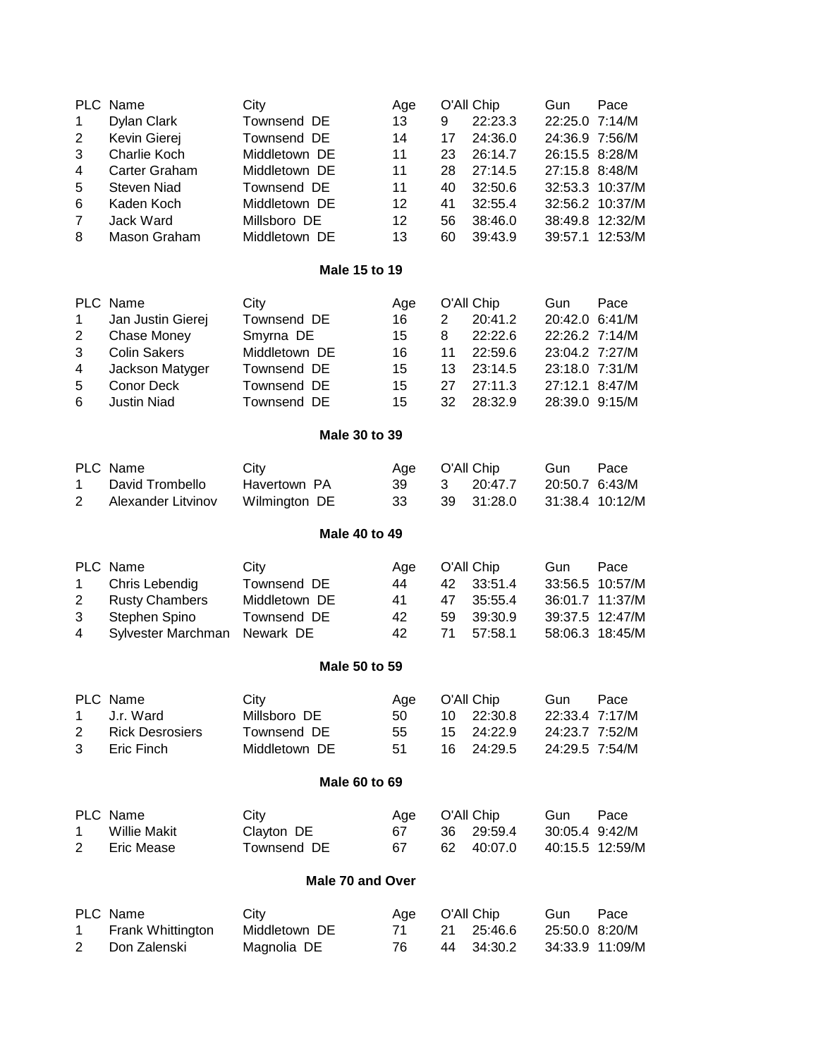| 1<br>$\overline{c}$ | PLC Name<br><b>Dylan Clark</b><br>Kevin Gierej | City<br>Townsend DE<br>Townsend DE | Age<br>13<br>14 | 9<br>17          | O'All Chip<br>22:23.3<br>24:36.0 | Gun<br>22:25.0 7:14/M<br>24:36.9 7:56/M | Pace            |
|---------------------|------------------------------------------------|------------------------------------|-----------------|------------------|----------------------------------|-----------------------------------------|-----------------|
| 3                   | Charlie Koch                                   | Middletown DE                      | 11              | 23               | 26:14.7                          | 26:15.5 8:28/M                          |                 |
| 4                   | Carter Graham                                  | Middletown DE                      | 11              | 28               | 27:14.5                          | 27:15.8 8:48/M                          |                 |
| 5                   | <b>Steven Niad</b>                             | Townsend DE                        | 11              | 40               | 32:50.6                          |                                         | 32:53.3 10:37/M |
| 6                   | Kaden Koch                                     | Middletown DE                      | 12              | 41               | 32:55.4                          |                                         | 32:56.2 10:37/M |
| $\overline{7}$      | Jack Ward                                      | Millsboro DE                       | 12              | 56               | 38:46.0                          |                                         | 38:49.8 12:32/M |
| 8                   | Mason Graham                                   | Middletown DE                      | 13              | 60               | 39:43.9                          |                                         | 39:57.1 12:53/M |
|                     |                                                |                                    |                 |                  |                                  |                                         |                 |
|                     |                                                | Male 15 to 19                      |                 |                  |                                  |                                         |                 |
|                     | PLC Name                                       | City                               | Age             |                  | O'All Chip                       | Gun                                     | Pace            |
| 1                   | Jan Justin Gierej                              | Townsend DE                        | 16              | 2                | 20:41.2                          | 20:42.0 6:41/M                          |                 |
| $\overline{2}$      | <b>Chase Money</b>                             | Smyrna DE                          | 15              | 8                | 22:22.6                          | 22:26.2 7:14/M                          |                 |
| 3                   | <b>Colin Sakers</b>                            | Middletown DE                      | 16              | 11               | 22:59.6                          | 23:04.2 7:27/M                          |                 |
| 4                   | Jackson Matyger                                | Townsend DE                        | 15              | 13               | 23:14.5                          | 23:18.0 7:31/M                          |                 |
| 5                   | Conor Deck                                     | Townsend DE                        | 15              | 27               | 27:11.3                          | 27:12.1 8:47/M                          |                 |
| 6                   | <b>Justin Niad</b>                             | Townsend DE                        | 15              | 32               | 28:32.9                          | 28:39.0 9:15/M                          |                 |
|                     |                                                | Male 30 to 39                      |                 |                  |                                  |                                         |                 |
|                     | PLC Name                                       | City                               | Age             |                  | O'All Chip                       | Gun                                     | Pace            |
| 1                   | David Trombello                                | Havertown PA                       | 39              | 3                | 20:47.7                          | 20:50.7 6:43/M                          |                 |
| $\overline{2}$      | Alexander Litvinov                             | Wilmington DE                      | 33              | 39               | 31:28.0                          |                                         | 31:38.4 10:12/M |
|                     |                                                | <b>Male 40 to 49</b>               |                 |                  |                                  |                                         |                 |
|                     | PLC Name                                       | City                               | Age             |                  | O'All Chip                       | Gun                                     | Pace            |
| 1                   | Chris Lebendig                                 | Townsend DE                        | 44              | 42               | 33:51.4                          |                                         | 33:56.5 10:57/M |
| $\overline{2}$      | <b>Rusty Chambers</b>                          | Middletown DE                      | 41              | 47               | 35:55.4                          |                                         | 36:01.7 11:37/M |
| 3                   | Stephen Spino                                  | Townsend DE                        | 42              | 59               | 39:30.9                          |                                         | 39:37.5 12:47/M |
| 4                   | Sylvester Marchman                             | Newark DE                          | 42              | 71               | 57:58.1                          |                                         | 58:06.3 18:45/M |
|                     |                                                |                                    |                 |                  |                                  |                                         |                 |
|                     |                                                | Male 50 to 59                      |                 |                  |                                  |                                         |                 |
|                     | PLC Name                                       | City                               | Age             |                  | O'All Chip                       | Gun                                     | Pace            |
| 1                   | J.r. Ward                                      | Millsboro DE                       | 50              | 10               | 22:30.8                          | 22:33.4 7:17/M                          |                 |
| $\overline{2}$      | <b>Rick Desrosiers</b>                         | Townsend DE                        | 55              | 15 <sub>15</sub> | 24:22.9                          | 24:23.7 7:52/M                          |                 |
| 3                   | Eric Finch                                     | Middletown DE                      | 51              | 16               | 24:29.5                          | 24:29.5 7:54/M                          |                 |
|                     |                                                | Male 60 to 69                      |                 |                  |                                  |                                         |                 |
|                     | PLC Name                                       | City                               | Age             |                  | O'All Chip                       | Gun                                     | Pace            |
| 1                   | <b>Willie Makit</b>                            | Clayton DE                         | 67              | 36               | 29:59.4                          | 30:05.4 9:42/M                          |                 |
| 2                   | Eric Mease                                     | Townsend DE                        | 67              | 62               | 40:07.0                          |                                         | 40:15.5 12:59/M |
|                     |                                                | Male 70 and Over                   |                 |                  |                                  |                                         |                 |
|                     | PLC Name                                       | City                               | Age             |                  | O'All Chip                       | Gun                                     | Pace            |
| 1                   | Frank Whittington                              | Middletown DE                      | 71              | 21               | 25:46.6                          | 25:50.0 8:20/M                          |                 |
| 2                   | Don Zalenski                                   | Magnolia DE                        | 76              | 44               | 34:30.2                          |                                         | 34:33.9 11:09/M |
|                     |                                                |                                    |                 |                  |                                  |                                         |                 |